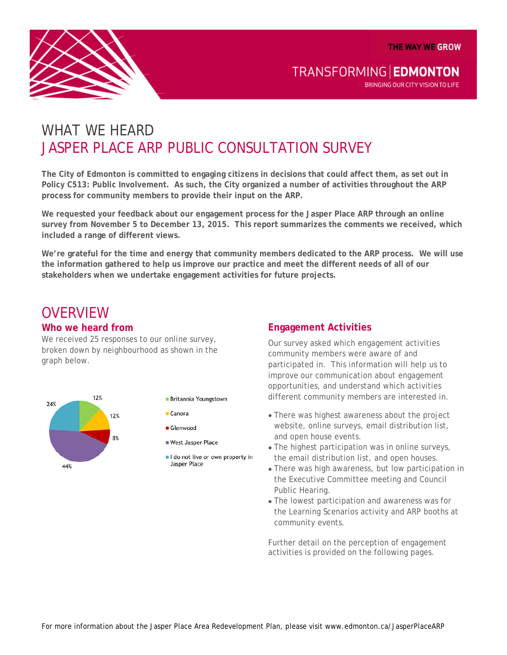**THE WAY WE GROW** 



TRANSFORMING | EDMONTON

BRINGING OUR CITY VISION TO LIFE

# WHAT WF HFARD JASPER PLACE ARP PUBLIC CONSULTATION SURVEY

**The City of Edmonton is committed to engaging citizens in decisions that could affect them, as set out in Policy C513: Public Involvement. As such, the City organized a number of activities throughout the ARP process for community members to provide their input on the ARP.**

**We requested your feedback about our engagement process for the Jasper Place ARP through an online survey from November 5 to December 13, 2015. This report summarizes the comments we received, which included a range of different views.**

**We're grateful for the time and energy that community members dedicated to the ARP process. We will use the information gathered to help us improve our practice and meet the different needs of all of our stakeholders when we undertake engagement activities for future projects.**

## **OVERVIEW**

### **Who we heard from**

We received 25 responses to our online survey, broken down by neighbourhood as shown in the graph below.



- Britannia Youngstown
- $C$ anora
- Glenwood
- West Jasper Place
- I do not live or own property in Jasper Place

### **Engagement Activities**

Our survey asked which engagement activities community members were aware of and participated in. This information will help us to improve our communication about engagement opportunities, and understand which activities different community members are interested in.

- There was highest awareness about the project website, online surveys, email distribution list, and open house events.
- The highest participation was in online surveys, the email distribution list, and open houses.
- There was high awareness, but low participation in the Executive Committee meeting and Council Public Hearing.
- The lowest participation and awareness was for the Learning Scenarios activity and ARP booths at community events.

Further detail on the perception of engagement activities is provided on the following pages.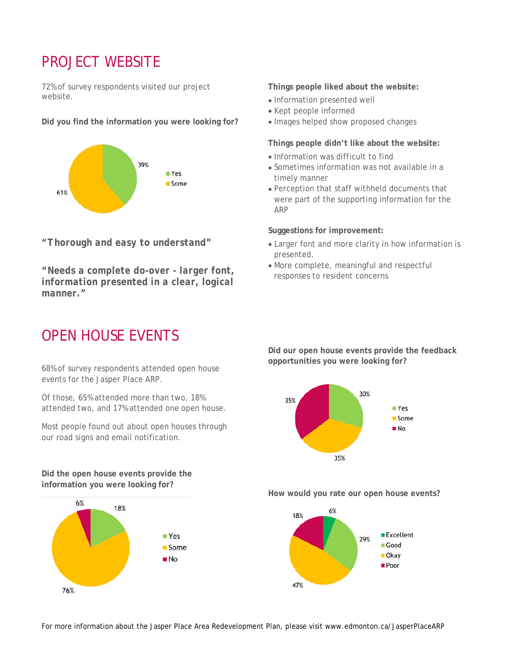## PROJECT WEBSITE

72% of survey respondents visited our project website.

**Did you find the information you were looking for?**



*"Thorough and easy to understand"*

*"Needs a complete do-over - larger font, information presented in a clear, logical manner."*

## OPEN HOUSE EVENTS

68% of survey respondents attended open house events for the Jasper Place ARP.

Of those, 65% attended more than two, 18% attended two, and 17% attended one open house.

Most people found out about open houses through our road signs and email notification.

**Did the open house events provide the information you were looking for?**



**Things people liked about the website:**

- Information presented well
- Kept people informed
- Images helped show proposed changes

**Things people didn't like about the website:**

- Information was difficult to find
- Sometimes information was not available in a timely manner
- Perception that staff withheld documents that were part of the supporting information for the ARP

**Suggestions for improvement:**

- Larger font and more clarity in how information is presented.
- More complete, meaningful and respectful responses to resident concerns

**Did our open house events provide the feedback opportunities you were looking for?**



**How would you rate our open house events?**

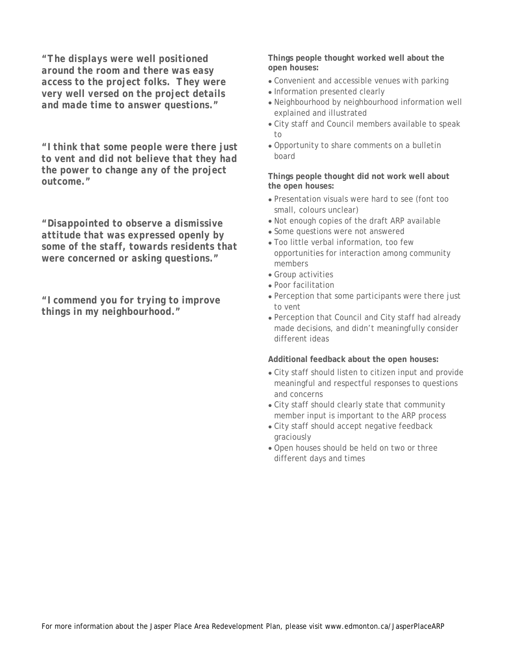*"The displays were well positioned around the room and there was easy access to the project folks. They were very well versed on the project details and made time to answer questions."*

*"I think that some people were there just to vent and did not believe that they had the power to change any of the project outcome."*

*"Disappointed to observe a dismissive attitude that was expressed openly by some of the staff, towards residents that were concerned or asking questions."*

*"I commend you for trying to improve things in my neighbourhood."*

**Things people thought worked well about the open houses:**

- Convenient and accessible venues with parking
- Information presented clearly
- Neighbourhood by neighbourhood information well explained and illustrated
- City staff and Council members available to speak to
- Opportunity to share comments on a bulletin board

**Things people thought did not work well about the open houses:**

- Presentation visuals were hard to see (font too small, colours unclear)
- Not enough copies of the draft ARP available
- Some questions were not answered
- Too little verbal information, too few opportunities for interaction among community members
- Group activities
- Poor facilitation
- Perception that some participants were there just to vent
- Perception that Council and City staff had already made decisions, and didn't meaningfully consider different ideas

**Additional feedback about the open houses:**

- City staff should listen to citizen input and provide meaningful and respectful responses to questions and concerns
- City staff should clearly state that community member input is important to the ARP process
- City staff should accept negative feedback graciously
- Open houses should be held on two or three different days and times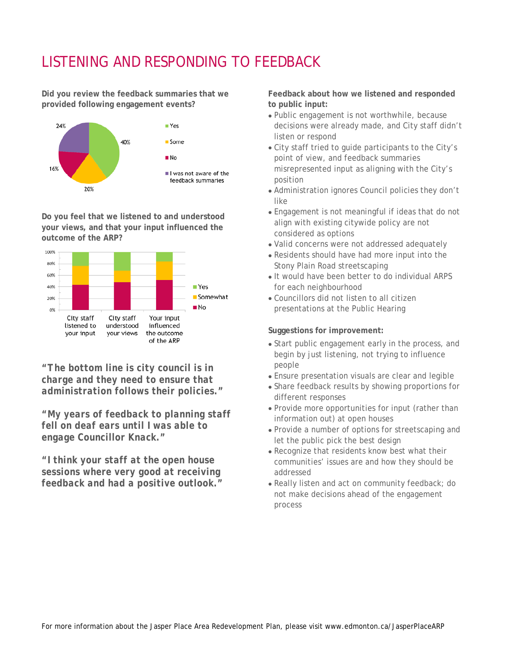# LISTENING AND RESPONDING TO FEEDBACK

**Did you review the feedback summaries that we provided following engagement events?**



**Do you feel that we listened to and understood your views, and that your input influenced the outcome of the ARP?**



*"The bottom line is city council is in charge and they need to ensure that administration follows their policies."*

*"My years of feedback to planning staff fell on deaf ears until I was able to engage Councillor Knack."*

*"I think your staff at the open house sessions where very good at receiving feedback and had a positive outlook."* **Feedback about how we listened and responded to public input:**

- Public engagement is not worthwhile, because decisions were already made, and City staff didn't listen or respond
- City staff tried to guide participants to the City's point of view, and feedback summaries misrepresented input as aligning with the City's position
- Administration ignores Council policies they don't like
- Engagement is not meaningful if ideas that do not align with existing citywide policy are not considered as options
- Valid concerns were not addressed adequately
- Residents should have had more input into the Stony Plain Road streetscaping
- It would have been better to do individual ARPS for each neighbourhood
- Councillors did not listen to all citizen presentations at the Public Hearing

#### **Suggestions for improvement:**

- Start public engagement early in the process, and begin by just listening, not trying to influence people
- Ensure presentation visuals are clear and legible
- Share feedback results by showing proportions for different responses
- Provide more opportunities for input (rather than information out) at open houses
- Provide a number of options for streetscaping and let the public pick the best design
- Recognize that residents know best what their communities' issues are and how they should be addressed
- Really listen and act on community feedback; do not make decisions ahead of the engagement process